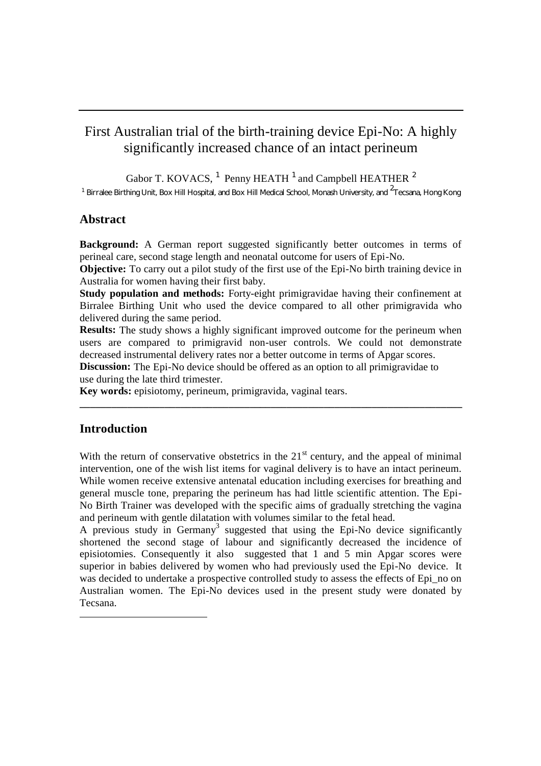# First Australian trial of the birth-training device Epi-No: A highly significantly increased chance of an intact perineum

Gabor T. KOVACS,  $^1$  Penny HEATH  $^1$  and Campbell HEATHER  $^2$ 

<sup>1</sup> Birralee Birthing Unit, Box Hill Hospital, and Box Hill Medical School, Monash University, and <sup>2</sup>Tecsana, Hong Kong

# **Abstract**

**Background:** A German report suggested significantly better outcomes in terms of perineal care, second stage length and neonatal outcome for users of Epi-No.

**Objective:** To carry out a pilot study of the first use of the Epi-No birth training device in Australia for women having their first baby.

**Study population and methods:** Forty-eight primigravidae having their confinement at Birralee Birthing Unit who used the device compared to all other primigravida who delivered during the same period.

**Results:** The study shows a highly significant improved outcome for the perineum when users are compared to primigravid non-user controls. We could not demonstrate decreased instrumental delivery rates nor a better outcome in terms of Apgar scores.

**\_\_\_\_\_\_\_\_\_\_\_\_\_\_\_\_\_\_\_\_\_\_\_\_\_\_\_\_\_\_\_\_\_\_\_\_\_\_\_\_\_\_\_\_\_\_\_\_\_\_\_\_\_\_\_\_\_\_\_\_\_\_\_\_\_\_\_\_\_\_\_\_**

**Discussion:** The Epi-No device should be offered as an option to all primigravidae to use during the late third trimester.

**Key words:** episiotomy, perineum, primigravida, vaginal tears.

## **Introduction**

With the return of conservative obstetrics in the  $21<sup>st</sup>$  century, and the appeal of minimal intervention, one of the wish list items for vaginal delivery is to have an intact perineum. While women receive extensive antenatal education including exercises for breathing and general muscle tone, preparing the perineum has had little scientific attention. The Epi-No Birth Trainer was developed with the specific aims of gradually stretching the vagina and perineum with gentle dilatation with volumes similar to the fetal head.

A previous study in Germany<sup>3</sup> suggested that using the Epi-No device significantly shortened the second stage of labour and significantly decreased the incidence of episiotomies. Consequently it also suggested that 1 and 5 min Apgar scores were superior in babies delivered by women who had previously used the Epi-No device. It was decided to undertake a prospective controlled study to assess the effects of Epi\_no on Australian women. The Epi-No devices used in the present study were donated by Tecsana.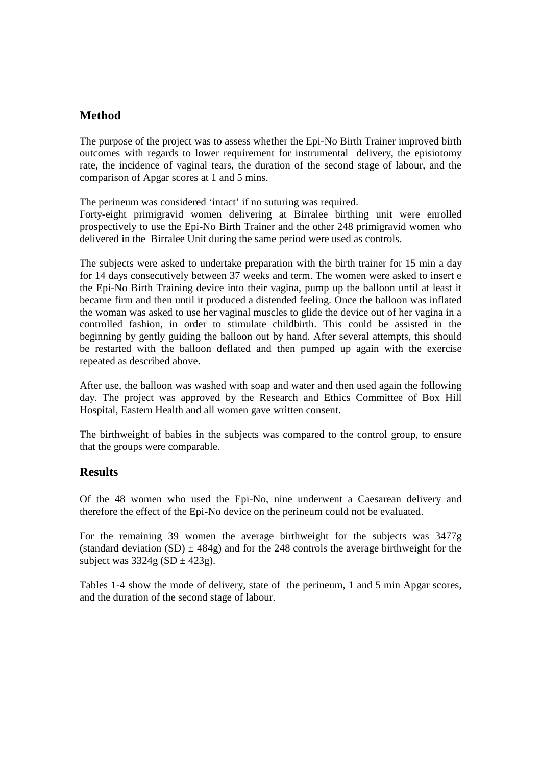# **Method**

The purpose of the project was to assess whether the Epi-No Birth Trainer improved birth outcomes with regards to lower requirement for instrumental delivery, the episiotomy rate, the incidence of vaginal tears, the duration of the second stage of labour, and the comparison of Apgar scores at 1 and 5 mins.

The perineum was considered 'intact' if no suturing was required.

Forty-eight primigravid women delivering at Birralee birthing unit were enrolled prospectively to use the Epi-No Birth Trainer and the other 248 primigravid women who delivered in the Birralee Unit during the same period were used as controls.

The subjects were asked to undertake preparation with the birth trainer for 15 min a day for 14 days consecutively between 37 weeks and term. The women were asked to insert e the Epi-No Birth Training device into their vagina, pump up the balloon until at least it became firm and then until it produced a distended feeling. Once the balloon was inflated the woman was asked to use her vaginal muscles to glide the device out of her vagina in a controlled fashion, in order to stimulate childbirth. This could be assisted in the beginning by gently guiding the balloon out by hand. After several attempts, this should be restarted with the balloon deflated and then pumped up again with the exercise repeated as described above.

After use, the balloon was washed with soap and water and then used again the following day. The project was approved by the Research and Ethics Committee of Box Hill Hospital, Eastern Health and all women gave written consent.

The birthweight of babies in the subjects was compared to the control group, to ensure that the groups were comparable.

## **Results**

Of the 48 women who used the Epi-No, nine underwent a Caesarean delivery and therefore the effect of the Epi-No device on the perineum could not be evaluated.

For the remaining 39 women the average birthweight for the subjects was 3477g (standard deviation  $(SD) \pm 484g$ ) and for the 248 controls the average birthweight for the subject was  $3324g (SD \pm 423g)$ .

Tables 1-4 show the mode of delivery, state of the perineum, 1 and 5 min Apgar scores, and the duration of the second stage of labour.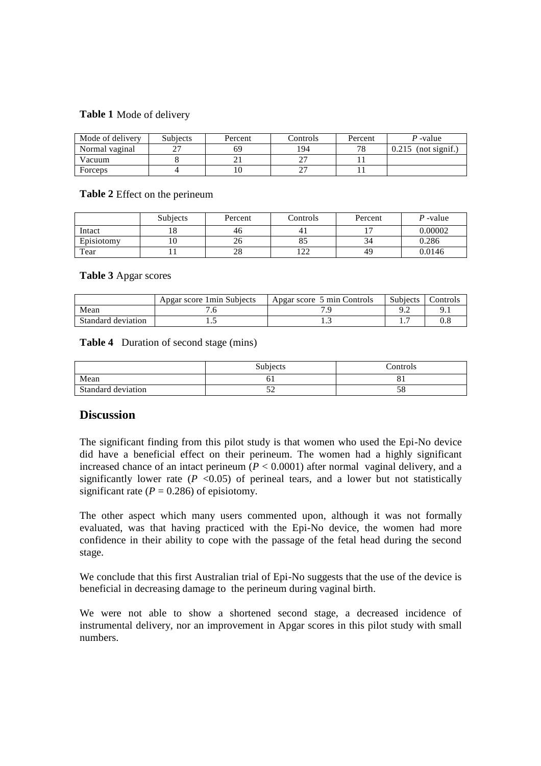#### **Table 1** Mode of delivery

| Mode of delivery | <b>Subjects</b> | Percent | Controls | Percent | P-value                |
|------------------|-----------------|---------|----------|---------|------------------------|
| Normal vaginal   |                 | 69      | 194      | 70      | (not signif.)<br>0.215 |
| Vacuum           |                 |         |          |         |                        |
| Forceps          |                 |         |          |         |                        |

#### **Table 2** Effect on the perineum

|            | <b>Subjects</b> | Percent | Controls     | Percent                  | $P$ -value |
|------------|-----------------|---------|--------------|--------------------------|------------|
| Intact     | 10<br>10        | 46      |              | $\overline{\phantom{a}}$ | 0.00002    |
| Episiotomy | ΙU              | 20      | οJ           | 34                       | 0.286      |
| Tear       |                 | 28      | ר רו<br>ے کہ | 49                       | 0.0146     |

#### **Table 3** Apgar scores

|                    | Apgar score 1 min Subjects | Apgar score 5 min Controls | <b>Subjects</b> | `ontrols |
|--------------------|----------------------------|----------------------------|-----------------|----------|
| Mean               |                            |                            |                 |          |
| Standard deviation | .                          | ر. .                       |                 |          |

#### **Table 4** Duration of second stage (mins)

|                    | Subjects | Controls |
|--------------------|----------|----------|
| Mean               |          |          |
| Standard deviation | ◡        | J0       |

## **Discussion**

The significant finding from this pilot study is that women who used the Epi-No device did have a beneficial effect on their perineum. The women had a highly significant increased chance of an intact perineum  $(P < 0.0001)$  after normal vaginal delivery, and a significantly lower rate  $(P \le 0.05)$  of perineal tears, and a lower but not statistically significant rate  $(P = 0.286)$  of episiotomy.

The other aspect which many users commented upon, although it was not formally evaluated, was that having practiced with the Epi-No device, the women had more confidence in their ability to cope with the passage of the fetal head during the second stage.

We conclude that this first Australian trial of Epi-No suggests that the use of the device is beneficial in decreasing damage to the perineum during vaginal birth.

We were not able to show a shortened second stage, a decreased incidence of instrumental delivery, nor an improvement in Apgar scores in this pilot study with small numbers.